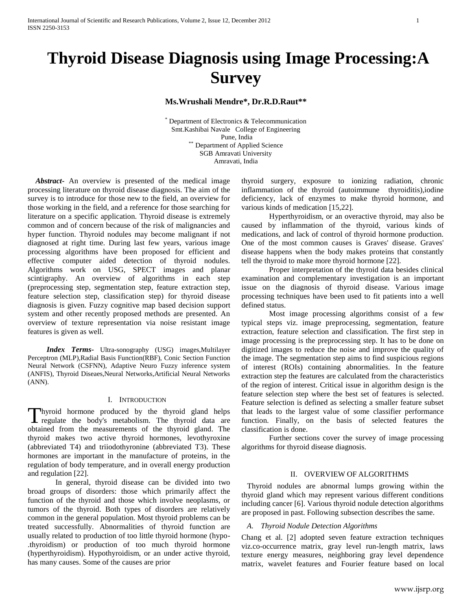# **Thyroid Disease Diagnosis using Image Processing:A Survey**

**Ms.Wrushali Mendre\*, Dr.R.D.Raut\*\***

Department of Electronics & Telecommunication Smt.Kashibai Navale College of Engineering Pune, India \*\* Department of Applied Science SGB Amravati University Amravati, India

 *Abstract***-** An overview is presented of the medical image processing literature on thyroid disease diagnosis. The aim of the survey is to introduce for those new to the field, an overview for those working in the field, and a reference for those searching for literature on a specific application. Thyroid disease is extremely common and of concern because of the risk of malignancies and hyper function. Thyroid nodules may become malignant if not diagnosed at right time. During last few years, various image processing algorithms have been proposed for efficient and effective computer aided detection of thyroid nodules. Algorithms work on USG, SPECT images and planar scintigraphy. An overview of algorithms in each step (preprocessing step, segmentation step, feature extraction step, feature selection step, classification step) for thyroid disease diagnosis is given. Fuzzy cognitive map based decision support system and other recently proposed methods are presented. An overview of texture representation via noise resistant image features is given as well.

 *Index Terms-* Ultra-sonography (USG) images,Multilayer Perceptron (MLP),Radial Basis Function(RBF), Conic Section Function Neural Network (CSFNN), Adaptive Neuro Fuzzy inference system (ANFIS), Thyroid Diseaes,Neural Networks,Artificial Neural Networks (ANN).

# I. INTRODUCTION

hyroid hormone produced by the thyroid gland helps regulate the body's metabolism. The thyroid data are Thyroid hormone produced by the thyroid gland helps<br>regulate the body's metabolism. The thyroid data are<br>obtained from the measurements of the thyroid gland. The thyroid makes two active thyroid hormones, levothyroxine (abbreviated T4) and triiodothyronine (abbreviated T3). These hormones are important in the manufacture of proteins, in the regulation of body temperature, and in overall energy production and regulation [22].

In general, thyroid disease can be divided into two broad groups of disorders: those which primarily affect the function of the thyroid and those which involve neoplasms, or tumors of the thyroid. Both types of disorders are relatively common in the general population. Most thyroid problems can be treated successfully. Abnormalities of thyroid function are usually related to production of too little thyroid hormone (hypo- .thyroidism) or production of too much thyroid hormone (hyperthyroidism). Hypothyroidism, or an under active thyroid, has many causes. Some of the causes are prior

thyroid surgery, exposure to ionizing radiation, chronic inflammation of the thyroid (autoimmune thyroiditis),iodine deficiency, lack of enzymes to make thyroid hormone, and various kinds of medication [15,22].

Hyperthyroidism, or an overactive thyroid, may also be caused by inflammation of the thyroid, various kinds of medications, and lack of control of thyroid hormone production. One of the most common causes is Graves' disease. Graves' disease happens when the body makes proteins that constantly tell the thyroid to make more thyroid hormone [22].

Proper interpretation of the thyroid data besides clinical examination and complementary investigation is an important issue on the diagnosis of thyroid disease. Various image processing techniques have been used to fit patients into a well defined status.

Most image processing algorithms consist of a few typical steps viz. image preprocessing, segmentation, feature extraction, feature selection and classification. The first step in image processing is the preprocessing step. It has to be done on digitized images to reduce the noise and improve the quality of the image. The segmentation step aims to find suspicious regions of interest (ROIs) containing abnormalities. In the feature extraction step the features are calculated from the characteristics of the region of interest. Critical issue in algorithm design is the feature selection step where the best set of features is selected. Feature selection is defined as selecting a smaller feature subset that leads to the largest value of some classifier performance function. Finally, on the basis of selected features the classification is done.

Further sections cover the survey of image processing algorithms for thyroid disease diagnosis.

#### II. OVERVIEW OF ALGORITHMS

 Thyroid nodules are abnormal lumps growing within the thyroid gland which may represent various different conditions including cancer [6]. Various thyroid nodule detection algorithms are proposed in past. Following subsection describes the same.

#### *A. Thyroid Nodule Detection Algorithms*

Chang et al. [2] adopted seven feature extraction techniques viz.co-occurrence matrix, gray level run-length matrix, laws texture energy measures, neighboring gray level dependence matrix, wavelet features and Fourier feature based on local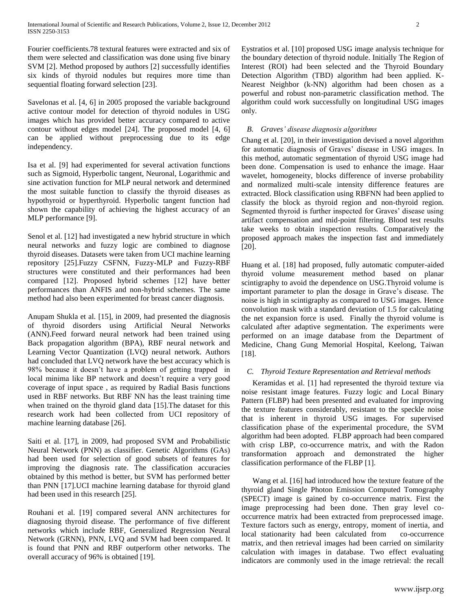Fourier coefficients.78 textural features were extracted and six of them were selected and classification was done using five binary SVM [2]. Method proposed by authors [2] successfully identifies six kinds of thyroid nodules but requires more time than sequential floating forward selection [23].

Savelonas et al. [4, 6] in 2005 proposed the variable background active contour model for detection of thyroid nodules in USG images which has provided better accuracy compared to active contour without edges model [24]. The proposed model [4, 6] can be applied without preprocessing due to its edge independency.

Isa et al. [9] had experimented for several activation functions such as Sigmoid, Hyperbolic tangent, Neuronal, Logarithmic and sine activation function for MLP neural network and determined the most suitable function to classify the thyroid diseases as hypothyroid or hyperthyroid. Hyperbolic tangent function had shown the capability of achieving the highest accuracy of an MLP performance [9].

Senol et al. [12] had investigated a new hybrid structure in which neural networks and fuzzy logic are combined to diagnose thyroid diseases. Datasets were taken from UCI machine learning repository [25].Fuzzy CSFNN, Fuzzy-MLP and Fuzzy-RBF structures were constituted and their performances had been compared [12]. Proposed hybrid schemes [12] have better performances than ANFIS and non-hybrid schemes. The same method had also been experimented for breast cancer diagnosis.

Anupam Shukla et al. [15], in 2009, had presented the diagnosis of thyroid disorders using Artificial Neural Networks (ANN).Feed forward neural network had been trained using Back propagation algorithm (BPA), RBF neural network and Learning Vector Quantization (LVQ) neural network. Authors had concluded that LVQ network have the best accuracy which is 98% because it doesn't have a problem of getting trapped in local minima like BP network and doesn't require a very good coverage of input space , as required by Radial Basis functions used in RBF networks. But RBF NN has the least training time when trained on the thyroid gland data [15].The dataset for this research work had been collected from UCI repository of machine learning database [26].

Saiti et al. [17], in 2009, had proposed SVM and Probabilistic Neural Network (PNN) as classifier. Genetic Algorithms (GAs) had been used for selection of good subsets of features for improving the diagnosis rate. The classification accuracies obtained by this method is better, but SVM has performed better than PNN [17].UCI machine learning database for thyroid gland had been used in this research [25].

Rouhani et al. [19] compared several ANN architectures for diagnosing thyroid disease. The performance of five different networks which include RBF, Generalized Regression Neural Network (GRNN), PNN, LVQ and SVM had been compared. It is found that PNN and RBF outperform other networks. The overall accuracy of 96% is obtained [19].

Eystratios et al. [10] proposed USG image analysis technique for the boundary detection of thyroid nodule. Initially The Region of Interest (ROI) had been selected and the Thyroid Boundary Detection Algorithm (TBD) algorithm had been applied. K-Nearest Neighbor (k-NN) algorithm had been chosen as a powerful and robust non-parametric classification method. The algorithm could work successfully on longitudinal USG images only.

# *B. Graves' disease diagnosis algorithms*

Chang et al. [20], in their investigation devised a novel algorithm for automatic diagnosis of Graves' disease in USG images. In this method, automatic segmentation of thyroid USG image had been done. Compensation is used to enhance the image. Haar wavelet, homogeneity, blocks difference of inverse probability and normalized multi-scale intensity difference features are extracted. Block classification using RBFNN had been applied to classify the block as thyroid region and non-thyroid region. Segmented thyroid is further inspected for Graves' disease using artifact compensation and mid-point filtering. Blood test results take weeks to obtain inspection results. Comparatively the proposed approach makes the inspection fast and immediately [20].

Huang et al. [18] had proposed, fully automatic computer-aided thyroid volume measurement method based on planar scintigraphy to avoid the dependence on USG.Thyroid volume is important parameter to plan the dosage in Grave's disease. The noise is high in scintigraphy as compared to USG images. Hence convolution mask with a standard deviation of 1.5 for calculating the net expansion force is used. Finally the thyroid volume is calculated after adaptive segmentation. The experiments were performed on an image database from the Department of Medicine, Chang Gung Memorial Hospital, Keelong, Taiwan [18].

# *C. Thyroid Texture Representation and Retrieval methods*

Keramidas et al. [1] had represented the thyroid texture via noise resistant image features. Fuzzy logic and Local Binary Pattern (FLBP) had been presented and evaluated for improving the texture features considerably, resistant to the speckle noise that is inherent in thyroid USG images. For supervised classification phase of the experimental procedure, the SVM algorithm had been adopted. FLBP approach had been compared with crisp LBP, co-occurrence matrix, and with the Radon transformation approach and demonstrated the higher classification performance of the FLBP [1].

Wang et al. [16] had introduced how the texture feature of the thyroid gland Single Photon Emission Computed Tomography (SPECT) image is gained by co-occurrence matrix. First the image preprocessing had been done. Then gray level cooccurrence matrix had been extracted from preprocessed image. Texture factors such as energy, entropy, moment of inertia, and local stationarity had been calculated from co-occurrence matrix, and then retrieval images had been carried on similarity calculation with images in database. Two effect evaluating indicators are commonly used in the image retrieval: the recall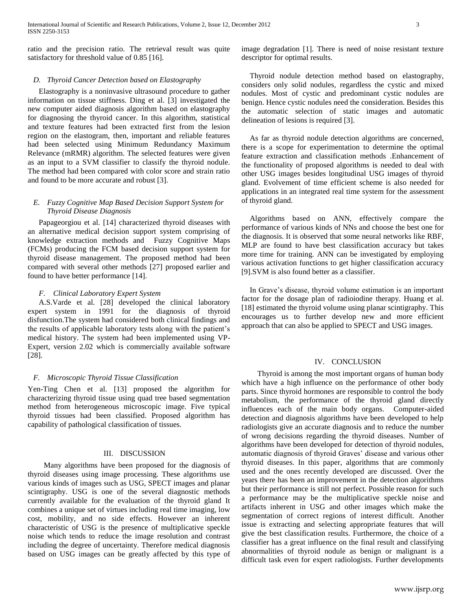ratio and the precision ratio. The retrieval result was quite satisfactory for threshold value of 0.85 [16].

# *D. Thyroid Cancer Detection based on Elastography*

Elastography is a noninvasive ultrasound procedure to gather information on tissue stiffness. Ding et al. [3] investigated the new computer aided diagnosis algorithm based on elastography for diagnosing the thyroid cancer. In this algorithm, statistical and texture features had been extracted first from the lesion region on the elastogram, then, important and reliable features had been selected using Minimum Redundancy Maximum Relevance (mRMR) algorithm. The selected features were given as an input to a SVM classifier to classify the thyroid nodule. The method had been compared with color score and strain ratio and found to be more accurate and robust [3].

# *E. Fuzzy Cognitive Map Based Decision Support System for Thyroid Disease Diagnosis*

Papageorgiou et al. [14] characterized thyroid diseases with an alternative medical decision support system comprising of knowledge extraction methods and Fuzzy Cognitive Maps (FCMs) producing the FCM based decision support system for thyroid disease management. The proposed method had been compared with several other methods [27] proposed earlier and found to have better performance [14].

# *F. Clinical Laboratory Expert System*

A.S.Varde et al. [28] developed the clinical laboratory expert system in 1991 for the diagnosis of thyroid disfunction.The system had considered both clinical findings and the results of applicable laboratory tests along with the patient's medical history. The system had been implemented using VP-Expert, version 2.02 which is commercially available software [28].

## *F. Microscopic Thyroid Tissue Classification*

Yen-Ting Chen et al. [13] proposed the algorithm for characterizing thyroid tissue using quad tree based segmentation method from heterogeneous microscopic image. Five typical thyroid tissues had been classified. Proposed algorithm has capability of pathological classification of tissues.

# III. DISCUSSION

 Many algorithms have been proposed for the diagnosis of thyroid diseases using image processing. These algorithms use various kinds of images such as USG, SPECT images and planar scintigraphy. USG is one of the several diagnostic methods currently available for the evaluation of the thyroid gland It combines a unique set of virtues including real time imaging, low cost, mobility, and no side effects. However an inherent characteristic of USG is the presence of multiplicative speckle noise which tends to reduce the image resolution and contrast including the degree of uncertainty. Therefore medical diagnosis based on USG images can be greatly affected by this type of image degradation [1]. There is need of noise resistant texture descriptor for optimal results.

Thyroid nodule detection method based on elastography, considers only solid nodules, regardless the cystic and mixed nodules. Most of cystic and predominant cystic nodules are benign. Hence cystic nodules need the consideration. Besides this the automatic selection of static images and automatic delineation of lesions is required [3].

As far as thyroid nodule detection algorithms are concerned, there is a scope for experimentation to determine the optimal feature extraction and classification methods .Enhancement of the functionality of proposed algorithms is needed to deal with other USG images besides longitudinal USG images of thyroid gland. Evolvement of time efficient scheme is also needed for applications in an integrated real time system for the assessment of thyroid gland.

Algorithms based on ANN, effectively compare the performance of various kinds of NNs and choose the best one for the diagnosis. It is observed that some neural networks like RBF, MLP are found to have best classification accuracy but takes more time for training. ANN can be investigated by employing various activation functions to get higher classification accuracy [9].SVM is also found better as a classifier.

In Grave's disease, thyroid volume estimation is an important factor for the dosage plan of radioiodine therapy. Huang et al. [18] estimated the thyroid volume using planar scintigraphy. This encourages us to further develop new and more efficient approach that can also be applied to SPECT and USG images.

## IV. CONCLUSION

 Thyroid is among the most important organs of human body which have a high influence on the performance of other body parts. Since thyroid hormones are responsible to control the body metabolism, the performance of the thyroid gland directly influences each of the main body organs. Computer-aided detection and diagnosis algorithms have been developed to help radiologists give an accurate diagnosis and to reduce the number of wrong decisions regarding the thyroid diseases. Number of algorithms have been developed for detection of thyroid nodules, automatic diagnosis of thyroid Graves' disease and various other thyroid diseases. In this paper, algorithms that are commonly used and the ones recently developed are discussed. Over the years there has been an improvement in the detection algorithms but their performance is still not perfect. Possible reason for such a performance may be the multiplicative speckle noise and artifacts inherent in USG and other images which make the segmentation of correct regions of interest difficult. Another issue is extracting and selecting appropriate features that will give the best classification results. Furthermore, the choice of a classifier has a great influence on the final result and classifying abnormalities of thyroid nodule as benign or malignant is a difficult task even for expert radiologists. Further developments